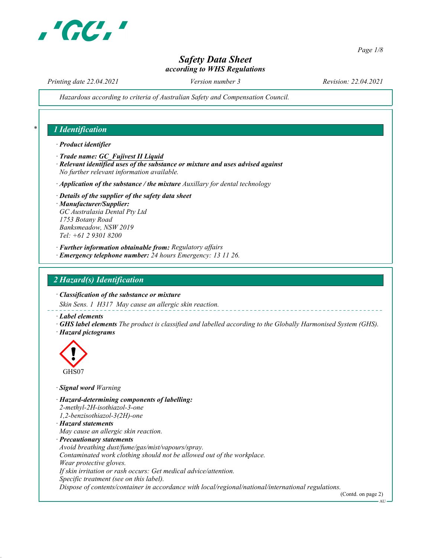

Page 1/8

# Safety Data Sheet according to WHS Regulations

Printing date 22.04.2021 Version number 3 Revision: 22.04.2021

Hazardous according to criteria of Australian Safety and Compensation Council.

### 1 Identification

#### · Product identifier

- · Trade name: GC\_Fujivest II Liquid
- · Relevant identified uses of the substance or mixture and uses advised against No further relevant information available.
- $\cdot$  Application of the substance / the mixture Auxillary for dental technology
- · Details of the supplier of the safety data sheet · Manufacturer/Supplier: GC Australasia Dental Pty Ltd 1753 Botany Road Banksmeadow, NSW 2019 Tel: +61 2 9301 8200
- · Further information obtainable from: Regulatory affairs
- · Emergency telephone number: 24 hours Emergency: 13 11 26.

#### 2 Hazard(s) Identification

· Classification of the substance or mixture

Skin Sens. 1 H317 May cause an allergic skin reaction.

- · Label elements
- · GHS label elements The product is classified and labelled according to the Globally Harmonised System (GHS). · Hazard pictograms



#### · Signal word Warning

- · Hazard-determining components of labelling: 2-methyl-2H-isothiazol-3-one
- 1,2-benzisothiazol-3(2H)-one
- · Hazard statements
- May cause an allergic skin reaction.
- · Precautionary statements
- Avoid breathing dust/fume/gas/mist/vapours/spray.

Contaminated work clothing should not be allowed out of the workplace.

- Wear protective gloves.
- If skin irritation or rash occurs: Get medical advice/attention.
- Specific treatment (see on this label).

Dispose of contents/container in accordance with local/regional/national/international regulations.

(Contd. on page 2)

**AU**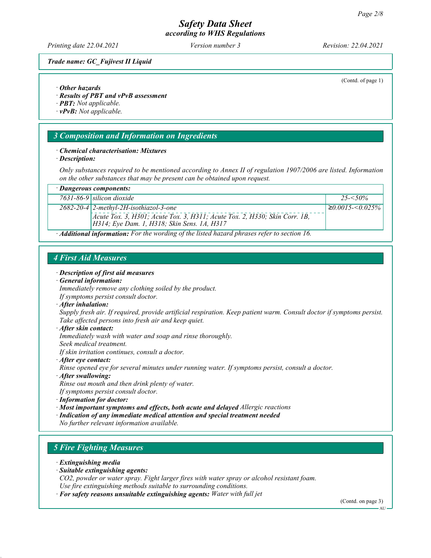Printing date 22.04.2021 Version number 3 Revision: 22.04.2021

(Contd. of page 1)

Trade name: GC\_Fujivest II Liquid

#### · Other hazards

· Results of PBT and vPvB assessment

· PBT: Not applicable.

· vPvB: Not applicable.

#### 3 Composition and Information on Ingredients

#### · Chemical characterisation: Mixtures

· Description:

Only substances required to be mentioned according to Annex II of regulation 1907/2006 are listed. Information on the other substances that may be present can be obtained upon request.

| · Dangerous components: |                                                                                                                                                                             |                         |
|-------------------------|-----------------------------------------------------------------------------------------------------------------------------------------------------------------------------|-------------------------|
|                         | $7631 - 86 - 9$ silicon dioxide                                                                                                                                             | $25 - 50\%$             |
|                         | $2682 - 20 - 4$ 2-methyl-2H-isothiazol-3-one<br>Acute Tox. 3, H301; Acute Tox. 3, H311; Acute Tox. 2, H330; Skin Corr. 1B,<br>  H314; Eye Dam. 1, H318; Skin Sens. 1A, H317 | $\geq 0.0015 < 0.025\%$ |
|                         | $\cdot$ <b>Additional information:</b> For the wording of the listed hazard phrases refer to section 16.                                                                    |                         |

#### 4 First Aid Measures

· Description of first aid measures

#### · General information:

Immediately remove any clothing soiled by the product. If symptoms persist consult doctor.

· After inhalation:

Supply fresh air. If required, provide artificial respiration. Keep patient warm. Consult doctor if symptoms persist. Take affected persons into fresh air and keep quiet.

· After skin contact:

Immediately wash with water and soap and rinse thoroughly.

Seek medical treatment.

If skin irritation continues, consult a doctor.

· After eye contact:

Rinse opened eye for several minutes under running water. If symptoms persist, consult a doctor.

· After swallowing:

Rinse out mouth and then drink plenty of water.

- If symptoms persist consult doctor.
- · Information for doctor:
- · Most important symptoms and effects, both acute and delayed Allergic reactions
- · Indication of any immediate medical attention and special treatment needed

No further relevant information available.

## 5 Fire Fighting Measures

- · Extinguishing media
- · Suitable extinguishing agents:

CO2, powder or water spray. Fight larger fires with water spray or alcohol resistant foam. Use fire extinguishing methods suitable to surrounding conditions.

· For safety reasons unsuitable extinguishing agents: Water with full jet

(Contd. on page 3)

**AU**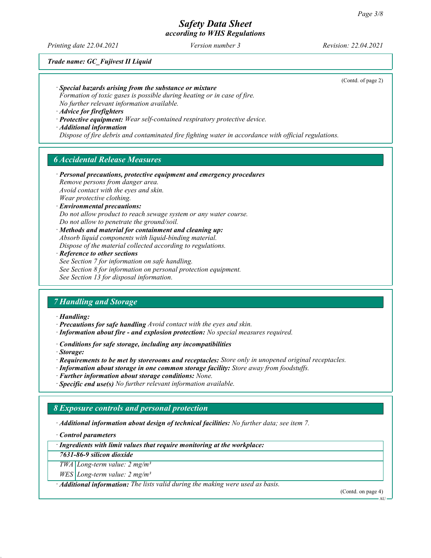Printing date 22.04.2021 Version number 3 Revision: 22.04.2021

(Contd. of page 2)

Trade name: GC\_Fujivest II Liquid

· Special hazards arising from the substance or mixture

Formation of toxic gases is possible during heating or in case of fire. No further relevant information available.

· Advice for firefighters

· Protective equipment: Wear self-contained respiratory protective device.

· Additional information

Dispose of fire debris and contaminated fire fighting water in accordance with official regulations.

#### 6 Accidental Release Measures

· Personal precautions, protective equipment and emergency procedures Remove persons from danger area.

Avoid contact with the eyes and skin. Wear protective clothing.

· Environmental precautions:

Do not allow product to reach sewage system or any water course. Do not allow to penetrate the ground/soil.

· Methods and material for containment and cleaning up: Absorb liquid components with liquid-binding material. Dispose of the material collected according to regulations.

· Reference to other sections

See Section 7 for information on safe handling.

See Section 8 for information on personal protection equipment.

See Section 13 for disposal information.

#### 7 Handling and Storage

· Handling:

· Precautions for safe handling Avoid contact with the eyes and skin.

- · Information about fire and explosion protection: No special measures required.
- · Conditions for safe storage, including any incompatibilities

· Storage:

- · Requirements to be met by storerooms and receptacles: Store only in unopened original receptacles.
- · Information about storage in one common storage facility: Store away from foodstuffs.
- · Further information about storage conditions: None.

 $\cdot$  Specific end use(s) No further relevant information available.

# 8 Exposure controls and personal protection

· Additional information about design of technical facilities: No further data; see item 7.

· Control parameters

· Ingredients with limit values that require monitoring at the workplace:

7631-86-9 silicon dioxide

 $TWA$  Long-term value:  $2 mg/m<sup>3</sup>$ 

 $WES$  Long-term value: 2 mg/m<sup>3</sup>

· Additional information: The lists valid during the making were used as basis.

(Contd. on page 4)

**AU**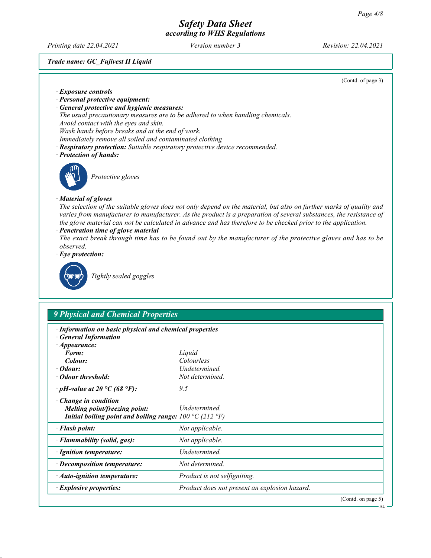$- AU$ 

# Safety Data Sheet according to WHS Regulations

Printing date 22.04.2021 Version number 3 Revision: 22.04.2021

#### Trade name: GC\_Fujivest II Liquid

|                                                                                                                                                                                                                                                                                                                                                            | (Contd. of page 3) |
|------------------------------------------------------------------------------------------------------------------------------------------------------------------------------------------------------------------------------------------------------------------------------------------------------------------------------------------------------------|--------------------|
| · Exposure controls                                                                                                                                                                                                                                                                                                                                        |                    |
| · Personal protective equipment:                                                                                                                                                                                                                                                                                                                           |                    |
| · General protective and hygienic measures:                                                                                                                                                                                                                                                                                                                |                    |
| The usual precautionary measures are to be adhered to when handling chemicals.                                                                                                                                                                                                                                                                             |                    |
| Avoid contact with the eyes and skin.                                                                                                                                                                                                                                                                                                                      |                    |
| Wash hands before breaks and at the end of work.                                                                                                                                                                                                                                                                                                           |                    |
| Immediately remove all soiled and contaminated clothing                                                                                                                                                                                                                                                                                                    |                    |
| · Respiratory protection: Suitable respiratory protective device recommended.                                                                                                                                                                                                                                                                              |                    |
| · Protection of hands:                                                                                                                                                                                                                                                                                                                                     |                    |
| Protective gloves                                                                                                                                                                                                                                                                                                                                          |                    |
| · Material of gloves                                                                                                                                                                                                                                                                                                                                       |                    |
| The selection of the suitable gloves does not only depend on the material, but also on further marks of quality and<br>varies from manufacturer to manufacturer. As the product is a preparation of several substances, the resistance of<br>the glove material can not be calculated in advance and has therefore to be checked prior to the application. |                    |
| · Penetration time of glove material                                                                                                                                                                                                                                                                                                                       |                    |
| The exact break through time has to be found out by the manufacturer of the protective gloves and has to be<br>observed.                                                                                                                                                                                                                                   |                    |
| $\cdot$ Eye protection:                                                                                                                                                                                                                                                                                                                                    |                    |
| Tightly sealed goggles                                                                                                                                                                                                                                                                                                                                     |                    |



| 7 I hysicul unu Chemical I ropernes                                                                                                 |                                               |  |  |  |
|-------------------------------------------------------------------------------------------------------------------------------------|-----------------------------------------------|--|--|--|
| · Information on basic physical and chemical properties<br><b>General Information</b><br>$\cdot$ Appearance:                        |                                               |  |  |  |
| Form:                                                                                                                               | Liquid                                        |  |  |  |
| Colour:                                                                                                                             | Colourless                                    |  |  |  |
| $\cdot$ Odour:                                                                                                                      | Undetermined.                                 |  |  |  |
| • Odour threshold:                                                                                                                  | Not determined.                               |  |  |  |
| $\cdot$ pH-value at 20 °C (68 °F):                                                                                                  | 9.5                                           |  |  |  |
| Change in condition<br>Melting point/freezing point:<br>Initial boiling point and boiling range: $100 \degree C$ (212 $\degree F$ ) | Undetermined.                                 |  |  |  |
| · Flash point:                                                                                                                      | Not applicable.                               |  |  |  |
| · Flammability (solid, gas):                                                                                                        | Not applicable.                               |  |  |  |
| · Ignition temperature:                                                                                                             | Undetermined.                                 |  |  |  |
| $\cdot$ Decomposition temperature:                                                                                                  | Not determined.                               |  |  |  |
| · Auto-ignition temperature:                                                                                                        | Product is not selfigniting.                  |  |  |  |
| $\cdot$ Explosive properties:                                                                                                       | Product does not present an explosion hazard. |  |  |  |
|                                                                                                                                     | (Contd. on page 5)                            |  |  |  |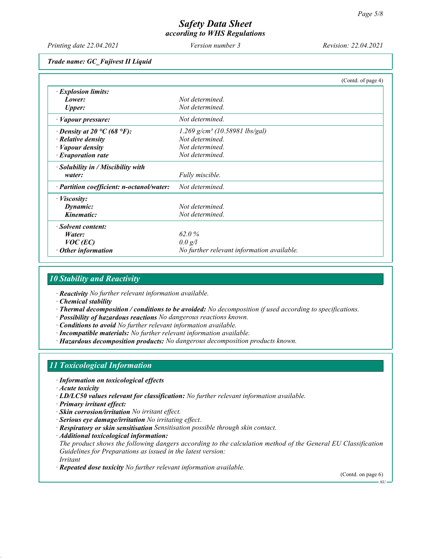Printing date 22.04.2021 Version number 3 Revision: 22.04.2021

Trade name: GC\_Fujivest II Liquid

|                                           | (Contd. of page 4)                         |
|-------------------------------------------|--------------------------------------------|
| $\cdot$ Explosion limits:                 |                                            |
| Lower:                                    | Not determined.                            |
| <b>Upper:</b>                             | Not determined.                            |
| $\cdot$ <i>Vapour pressure:</i>           | Not determined.                            |
| $\cdot$ Density at 20 °C (68 °F):         | 1.269 g/cm <sup>3</sup> (10.58981 lbs/gal) |
| $\cdot$ Relative density                  | Not determined.                            |
| · Vapour density                          | Not determined.                            |
| $\cdot$ Evaporation rate                  | Not determined.                            |
| $\cdot$ Solubility in / Miscibility with  |                                            |
| water:                                    | Fully miscible.                            |
| · Partition coefficient: n-octanol/water: | Not determined.                            |
| $\cdot$ <i>Viscosity:</i>                 |                                            |
| Dynamic:                                  | Not determined.                            |
| Kinematic:                                | Not determined.                            |
| · Solvent content:                        |                                            |
| Water:                                    | 62.0%                                      |
| $VOC$ (EC)                                | 0.0 g/l                                    |
| Other information                         | No further relevant information available. |

#### 10 Stability and Reactivity

· Reactivity No further relevant information available.

· Chemical stability

- · Thermal decomposition / conditions to be avoided: No decomposition if used according to specifications.
- · Possibility of hazardous reactions No dangerous reactions known.
- · Conditions to avoid No further relevant information available.
- · Incompatible materials: No further relevant information available.
- · Hazardous decomposition products: No dangerous decomposition products known.

#### 11 Toxicological Information

· Information on toxicological effects

- · Acute toxicity
- $\cdot$  LD/LC50 values relevant for classification: No further relevant information available.
- · Primary irritant effect:
- · Skin corrosion/irritation No irritant effect.
- · Serious eye damage/irritation No irritating effect.
- · Respiratory or skin sensitisation Sensitisation possible through skin contact.
- · Additional toxicological information:

The product shows the following dangers according to the calculation method of the General EU Classification Guidelines for Preparations as issued in the latest version: Irritant

· Repeated dose toxicity No further relevant information available.

(Contd. on page 6)

AU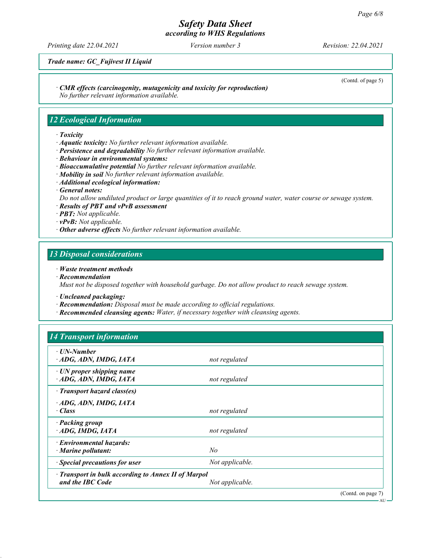# Safety Data Sheet

according to WHS Regulations

Printing date 22.04.2021 Version number 3 Revision: 22.04.2021

Trade name: GC\_Fujivest II Liquid

· CMR effects (carcinogenity, mutagenicity and toxicity for reproduction)

No further relevant information available.

#### 12 Ecological Information

#### · Toxicity

- · Aquatic toxicity: No further relevant information available.
- · Persistence and degradability No further relevant information available.
- · Behaviour in environmental systems:
- · Bioaccumulative potential No further relevant information available.
- $\cdot$  Mobility in soil No further relevant information available.
- · Additional ecological information:
- · General notes:

Do not allow undiluted product or large quantities of it to reach ground water, water course or sewage system.

- · Results of PBT and vPvB assessment
- · PBT: Not applicable.
- · vPvB: Not applicable.
- · Other adverse effects No further relevant information available.

#### 13 Disposal considerations

#### · Waste treatment methods

· Recommendation

Must not be disposed together with household garbage. Do not allow product to reach sewage system.

- · Uncleaned packaging:
- · Recommendation: Disposal must be made according to official regulations.
- · Recommended cleansing agents: Water, if necessary together with cleansing agents.

| · UN-Number                                         |                 |  |
|-----------------------------------------------------|-----------------|--|
| ADG, ADN, IMDG, IATA                                | not regulated   |  |
| · UN proper shipping name<br>ADG, ADN, IMDG, IATA   | not regulated   |  |
| · Transport hazard class(es)                        |                 |  |
| ADG, ADN, IMDG, IATA                                |                 |  |
| $\cdot$ Class                                       | not regulated   |  |
| · Packing group                                     |                 |  |
| $\cdot$ ADG, IMDG, IATA                             | not regulated   |  |
| · Environmental hazards:                            |                 |  |
| $\cdot$ Marine pollutant:                           | No              |  |
| · Special precautions for user                      | Not applicable. |  |
| · Transport in bulk according to Annex II of Marpol |                 |  |
| and the IBC Code                                    | Not applicable. |  |

AU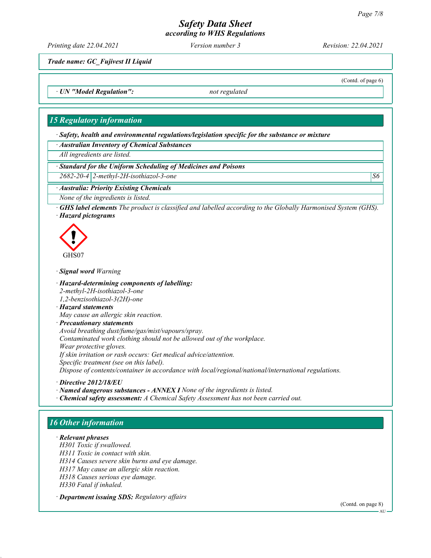Printing date 22.04.2021 Version number 3 Revision: 22.04.2021

(Contd. of page 6)

Trade name: GC\_Fujivest II Liquid

· UN "Model Regulation": not regulated

#### 15 Regulatory information

· Safety, health and environmental regulations/legislation specific for the substance or mixture

· Australian Inventory of Chemical Substances

All ingredients are listed.

· Standard for the Uniform Scheduling of Medicines and Poisons

 $2682-20-4$  2-methyl-2H-isothiazol-3-one  $\vert S6 \vert$ 

#### · Australia: Priority Existing Chemicals

None of the ingredients is listed.

· GHS label elements The product is classified and labelled according to the Globally Harmonised System (GHS). · Hazard pictograms



#### · Signal word Warning

· Hazard-determining components of labelling: 2-methyl-2H-isothiazol-3-one

1,2-benzisothiazol-3(2H)-one

· Hazard statements

May cause an allergic skin reaction.

· Precautionary statements

Avoid breathing dust/fume/gas/mist/vapours/spray.

Contaminated work clothing should not be allowed out of the workplace.

Wear protective gloves.

If skin irritation or rash occurs: Get medical advice/attention.

Specific treatment (see on this label).

Dispose of contents/container in accordance with local/regional/national/international regulations.

· Directive 2012/18/EU

· Named dangerous substances - ANNEX I None of the ingredients is listed.

· Chemical safety assessment: A Chemical Safety Assessment has not been carried out.

# 16 Other information

· Relevant phrases H301 Toxic if swallowed. H311 Toxic in contact with skin. H314 Causes severe skin burns and eye damage. H317 May cause an allergic skin reaction. H318 Causes serious eye damage. H330 Fatal if inhaled.

· Department issuing SDS: Regulatory affairs

(Contd. on page 8)

AU